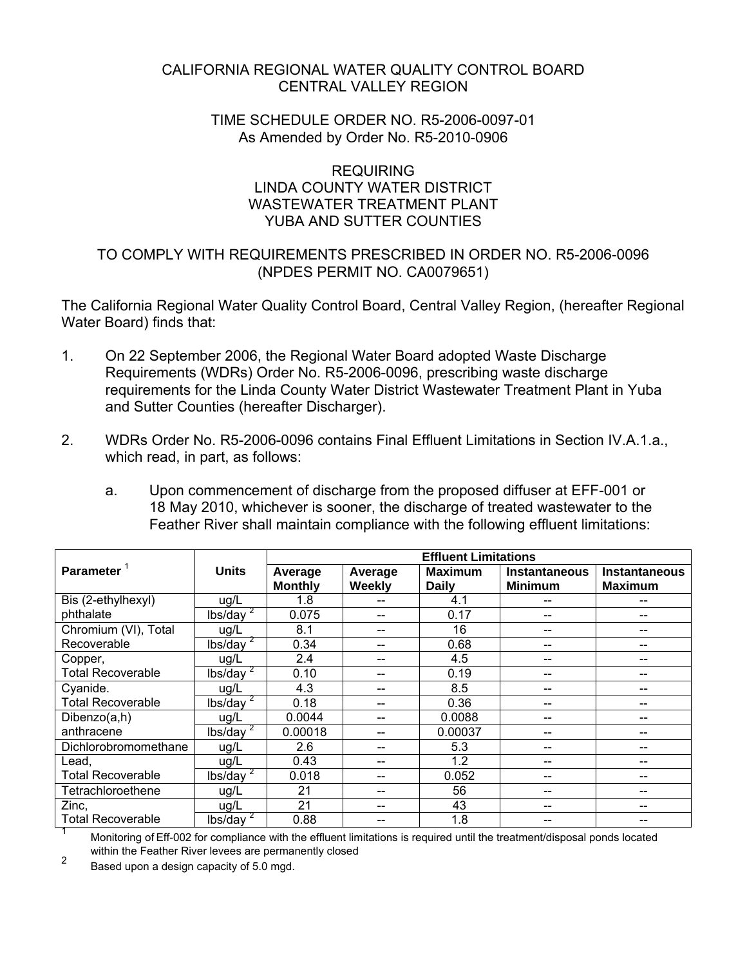### CALIFORNIA REGIONAL WATER QUALITY CONTROL BOARD CENTRAL VALLEY REGION

#### TIME SCHEDULE ORDER NO. R5-2006-0097-01 As Amended by Order No. R5-2010-0906

### REQUIRING LINDA COUNTY WATER DISTRICT WASTEWATER TREATMENT PLANT YUBA AND SUTTER COUNTIES

### TO COMPLY WITH REQUIREMENTS PRESCRIBED IN ORDER NO. R5-2006-0096 (NPDES PERMIT NO. CA0079651)

The California Regional Water Quality Control Board, Central Valley Region, (hereafter Regional Water Board) finds that:

- 1. On 22 September 2006, the Regional Water Board adopted Waste Discharge Requirements (WDRs) Order No. R5-2006-0096, prescribing waste discharge requirements for the Linda County Water District Wastewater Treatment Plant in Yuba and Sutter Counties (hereafter Discharger).
- 2. WDRs Order No. R5-2006-0096 contains Final Effluent Limitations in Section IV.A.1.a., which read, in part, as follows:
	- a. Upon commencement of discharge from the proposed diffuser at EFF-001 or 18 May 2010, whichever is sooner, the discharge of treated wastewater to the Feather River shall maintain compliance with the following effluent limitations:

|                          | <b>Effluent Limitations</b> |                           |                   |                                |                                        |                                        |
|--------------------------|-----------------------------|---------------------------|-------------------|--------------------------------|----------------------------------------|----------------------------------------|
| Parameter                | <b>Units</b>                | Average<br><b>Monthly</b> | Average<br>Weekly | <b>Maximum</b><br><b>Daily</b> | <b>Instantaneous</b><br><b>Minimum</b> | <b>Instantaneous</b><br><b>Maximum</b> |
| Bis (2-ethylhexyl)       | ug/L                        | 1.8                       |                   | 4.1                            |                                        |                                        |
| phthalate                | lbs/day                     | 0.075                     |                   | 0.17                           |                                        |                                        |
| Chromium (VI), Total     | ug/L                        | 8.1                       |                   | 16                             |                                        |                                        |
| Recoverable              | lbs/day                     | 0.34                      |                   | 0.68                           |                                        |                                        |
| Copper,                  | ug/L                        | 2.4                       |                   | 4.5                            |                                        |                                        |
| <b>Total Recoverable</b> | $\mathbf{z}$<br>lbs/day     | 0.10                      |                   | 0.19                           |                                        |                                        |
| Cyanide.                 | ug/L                        | 4.3                       |                   | 8.5                            |                                        |                                        |
| <b>Total Recoverable</b> | z<br>lbs/day                | 0.18                      |                   | 0.36                           | --                                     |                                        |
| Dibenzo(a,h)             | ug/L                        | 0.0044                    |                   | 0.0088                         |                                        |                                        |
| anthracene               | $\mathbf{z}$<br>lbs/day     | 0.00018                   |                   | 0.00037                        |                                        |                                        |
| Dichlorobromomethane     | ug/L                        | 2.6                       |                   | 5.3                            |                                        |                                        |
| Lead,                    | ug/L                        | 0.43                      |                   | 1.2                            | --                                     |                                        |
| <b>Total Recoverable</b> | $\mathbf{z}$<br>lbs/day     | 0.018                     |                   | 0.052                          |                                        |                                        |
| Tetrachloroethene        | ug/L                        | 21                        |                   | 56                             |                                        |                                        |
| Zinc,                    | ug/L                        | 21                        |                   | 43                             |                                        |                                        |
| <b>Total Recoverable</b> | lbs/dav                     | 0.88                      |                   | 1.8                            |                                        |                                        |

Total Recoverable lbs/day 2 0.88 -- 1.8 -- -- 1 Monitoring of Eff-002 for compliance with the effluent limitations is required until the treatment/disposal ponds located

within the Feather River levees are permanently closed<br>Based upon a design capacity of 5.0 mgd.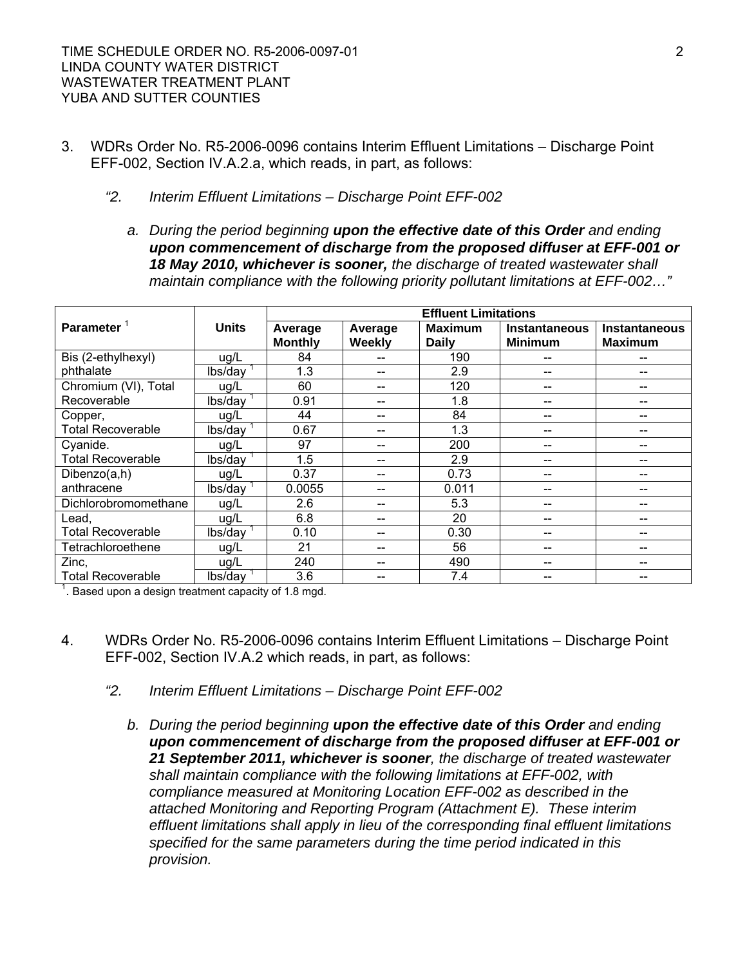- 3. WDRs Order No. R5-2006-0096 contains Interim Effluent Limitations Discharge Point EFF-002, Section IV.A.2.a, which reads, in part, as follows:
	- *"2. Interim Effluent Limitations Discharge Point EFF-002* 
		- *a. During the period beginning upon the effective date of this Order and ending upon commencement of discharge from the proposed diffuser at EFF-001 or 18 May 2010, whichever is sooner, the discharge of treated wastewater shall maintain compliance with the following priority pollutant limitations at EFF-002…"*

|                                                      |              | <b>Effluent Limitations</b> |                          |                                |                                        |                                        |
|------------------------------------------------------|--------------|-----------------------------|--------------------------|--------------------------------|----------------------------------------|----------------------------------------|
| <b>Parameter</b>                                     | <b>Units</b> | Average<br><b>Monthly</b>   | Average<br><b>Weekly</b> | <b>Maximum</b><br><b>Daily</b> | <b>Instantaneous</b><br><b>Minimum</b> | <b>Instantaneous</b><br><b>Maximum</b> |
| Bis (2-ethylhexyl)                                   | ug/L         | 84                          | --                       | 190                            |                                        |                                        |
| phthalate                                            | lbs/day      | 1.3                         | --                       | 2.9                            | --                                     |                                        |
| Chromium (VI), Total                                 | ug/L         | 60                          | --                       | 120                            | --                                     |                                        |
| Recoverable                                          | lbs/day      | 0.91                        | --                       | 1.8                            | --                                     |                                        |
| Copper,                                              | ug/L         | 44                          | --                       | 84                             | --                                     |                                        |
| <b>Total Recoverable</b>                             | lbs/day      | 0.67                        | --                       | 1.3                            | --                                     |                                        |
| Cyanide.                                             | ug/L         | 97                          | --                       | 200                            | --                                     |                                        |
| <b>Total Recoverable</b>                             | lbs/day      | 1.5                         | --                       | 2.9                            |                                        |                                        |
| Dibenzo(a,h)                                         | ug/L         | 0.37                        | --                       | 0.73                           | --                                     |                                        |
| anthracene                                           | lbs/day      | 0.0055                      | --                       | 0.011                          | --                                     |                                        |
| Dichlorobromomethane                                 | ug/L         | 2.6                         | --                       | 5.3                            |                                        |                                        |
| Lead,                                                | ug/L         | 6.8                         |                          | 20                             |                                        |                                        |
| <b>Total Recoverable</b>                             | lbs/day      | 0.10                        | --                       | 0.30                           | --                                     |                                        |
| Tetrachloroethene                                    | ug/L         | 21                          | --                       | 56                             | --                                     |                                        |
| Zinc,                                                | ug/L         | 240                         | --                       | 490                            |                                        |                                        |
| <b>Total Recoverable</b>                             | lbs/day      | 3.6                         | --                       | 7.4                            | --                                     |                                        |
| . Based upon a design treatment capacity of 1.8 mgd. |              |                             |                          |                                |                                        |                                        |

- 4. WDRs Order No. R5-2006-0096 contains Interim Effluent Limitations Discharge Point EFF-002, Section IV.A.2 which reads, in part, as follows:
	- *"2. Interim Effluent Limitations Discharge Point EFF-002* 
		- *b. During the period beginning upon the effective date of this Order and ending upon commencement of discharge from the proposed diffuser at EFF-001 or 21 September 2011, whichever is sooner, the discharge of treated wastewater shall maintain compliance with the following limitations at EFF-002, with compliance measured at Monitoring Location EFF-002 as described in the attached Monitoring and Reporting Program (Attachment E). These interim effluent limitations shall apply in lieu of the corresponding final effluent limitations specified for the same parameters during the time period indicated in this provision.*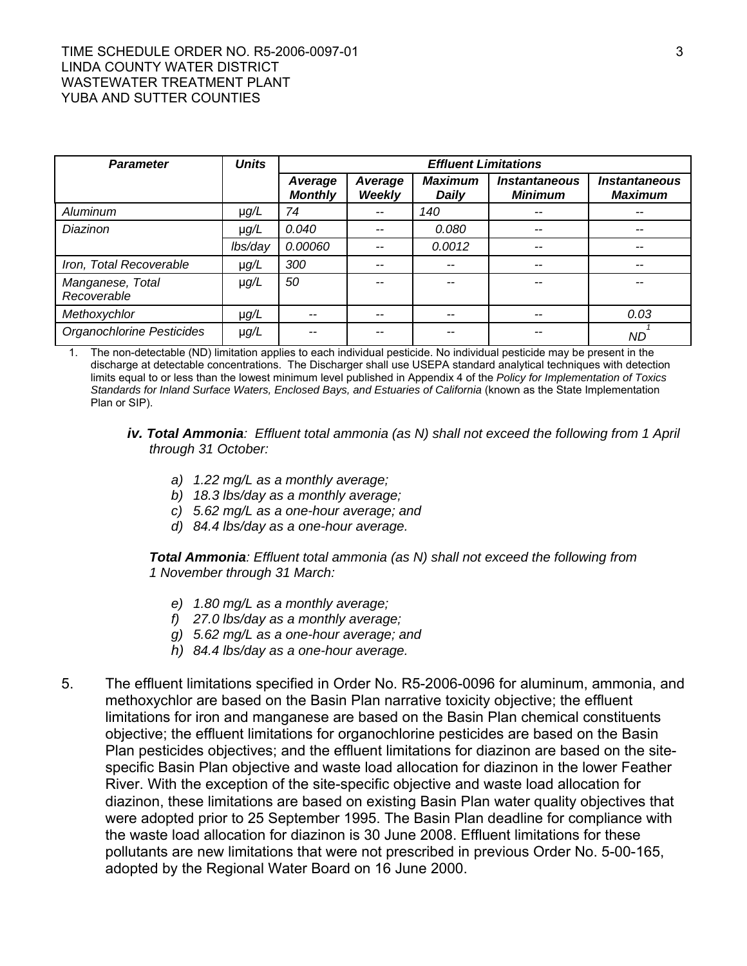#### TIME SCHEDULE ORDER NO. R5-2006-0097-01 3 3 LINDA COUNTY WATER DISTRICT WASTEWATER TREATMENT PLANT YUBA AND SUTTER COUNTIES

| <b>Parameter</b>                | <b>Units</b> |                           | <b>Effluent Limitations</b> |                                |                                               |                                 |
|---------------------------------|--------------|---------------------------|-----------------------------|--------------------------------|-----------------------------------------------|---------------------------------|
|                                 |              | Average<br><b>Monthly</b> | Average<br><b>Weekly</b>    | <b>Maximum</b><br><b>Daily</b> | <i><b>Instantaneous</b></i><br><b>Minimum</b> | Instantaneous<br><b>Maximum</b> |
| Aluminum                        | $\mu$ g/L    | 74                        | --                          | 140                            |                                               | $- -$                           |
| Diazinon                        | $\mu$ g/L    | 0.040                     | --                          | 0.080                          | $- -$                                         | $- -$                           |
|                                 | lbs/day      | 0.00060                   | --                          | 0.0012                         | --                                            | $- -$                           |
| Iron, Total Recoverable         | µg/L         | 300                       | --                          | $- -$                          | $-$                                           | $- -$                           |
| Manganese, Total<br>Recoverable | $\mu g/L$    | 50                        | --                          | --                             |                                               |                                 |
| Methoxychlor                    | $\mu$ g/L    | $- -$                     | $- -$                       | $- -$                          | $- -$                                         | 0.03                            |
| Organochlorine Pesticides       | $\mu$ g/L    | --                        | --                          | --                             |                                               | <b>ND</b>                       |

1. The non-detectable (ND) limitation applies to each individual pesticide. No individual pesticide may be present in the discharge at detectable concentrations. The Discharger shall use USEPA standard analytical techniques with detection limits equal to or less than the lowest minimum level published in Appendix 4 of the *Policy for Implementation of Toxics*  Standards for Inland Surface Waters, Enclosed Bays, and Estuaries of California (known as the State Implementation Plan or SIP).

- *iv. Total Ammonia: Effluent total ammonia (as N) shall not exceed the following from 1 April through 31 October:* 
	- *a) 1.22 mg/L as a monthly average;*
	- *b) 18.3 lbs/day as a monthly average;*
	- *c) 5.62 mg/L as a one-hour average; and*
	- *d) 84.4 lbs/day as a one-hour average.*

*Total Ammonia: Effluent total ammonia (as N) shall not exceed the following from 1 November through 31 March:* 

- *e) 1.80 mg/L as a monthly average;*
- *f) 27.0 lbs/day as a monthly average;*
- *g) 5.62 mg/L as a one-hour average; and*
- *h) 84.4 lbs/day as a one-hour average.*
- 5. The effluent limitations specified in Order No. R5-2006-0096 for aluminum, ammonia, and methoxychlor are based on the Basin Plan narrative toxicity objective; the effluent limitations for iron and manganese are based on the Basin Plan chemical constituents objective; the effluent limitations for organochlorine pesticides are based on the Basin Plan pesticides objectives; and the effluent limitations for diazinon are based on the sitespecific Basin Plan objective and waste load allocation for diazinon in the lower Feather River. With the exception of the site-specific objective and waste load allocation for diazinon, these limitations are based on existing Basin Plan water quality objectives that were adopted prior to 25 September 1995. The Basin Plan deadline for compliance with the waste load allocation for diazinon is 30 June 2008. Effluent limitations for these pollutants are new limitations that were not prescribed in previous Order No. 5-00-165, adopted by the Regional Water Board on 16 June 2000.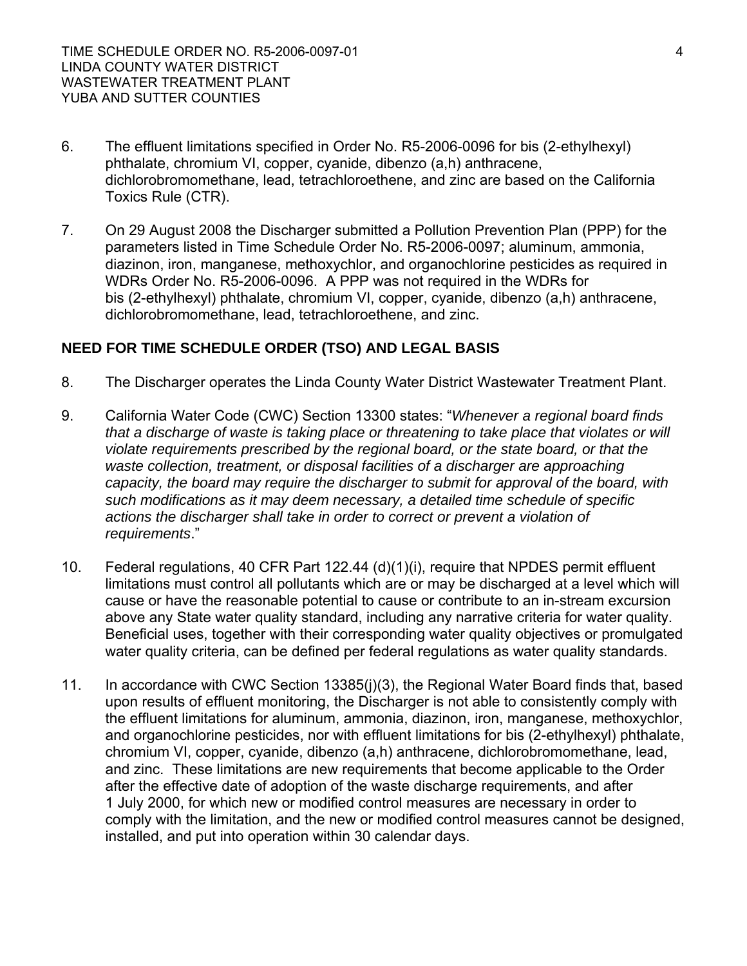- 6. The effluent limitations specified in Order No. R5-2006-0096 for bis (2-ethylhexyl) phthalate, chromium VI, copper, cyanide, dibenzo (a,h) anthracene, dichlorobromomethane, lead, tetrachloroethene, and zinc are based on the California Toxics Rule (CTR).
- 7. On 29 August 2008 the Discharger submitted a Pollution Prevention Plan (PPP) for the parameters listed in Time Schedule Order No. R5-2006-0097; aluminum, ammonia, diazinon, iron, manganese, methoxychlor, and organochlorine pesticides as required in WDRs Order No. R5-2006-0096. A PPP was not required in the WDRs for bis (2-ethylhexyl) phthalate, chromium VI, copper, cyanide, dibenzo (a,h) anthracene, dichlorobromomethane, lead, tetrachloroethene, and zinc.

#### **NEED FOR TIME SCHEDULE ORDER (TSO) AND LEGAL BASIS**

- 8. The Discharger operates the Linda County Water District Wastewater Treatment Plant.
- 9. California Water Code (CWC) Section 13300 states: "*Whenever a regional board finds that a discharge of waste is taking place or threatening to take place that violates or will violate requirements prescribed by the regional board, or the state board, or that the waste collection, treatment, or disposal facilities of a discharger are approaching capacity, the board may require the discharger to submit for approval of the board, with such modifications as it may deem necessary, a detailed time schedule of specific actions the discharger shall take in order to correct or prevent a violation of requirements*."
- 10. Federal regulations, 40 CFR Part 122.44 (d)(1)(i), require that NPDES permit effluent limitations must control all pollutants which are or may be discharged at a level which will cause or have the reasonable potential to cause or contribute to an in-stream excursion above any State water quality standard, including any narrative criteria for water quality. Beneficial uses, together with their corresponding water quality objectives or promulgated water quality criteria, can be defined per federal regulations as water quality standards.
- 11. In accordance with CWC Section 13385(j)(3), the Regional Water Board finds that, based upon results of effluent monitoring, the Discharger is not able to consistently comply with the effluent limitations for aluminum, ammonia, diazinon, iron, manganese, methoxychlor, and organochlorine pesticides, nor with effluent limitations for bis (2-ethylhexyl) phthalate, chromium VI, copper, cyanide, dibenzo (a,h) anthracene, dichlorobromomethane, lead, and zinc. These limitations are new requirements that become applicable to the Order after the effective date of adoption of the waste discharge requirements, and after 1 July 2000, for which new or modified control measures are necessary in order to comply with the limitation, and the new or modified control measures cannot be designed, installed, and put into operation within 30 calendar days.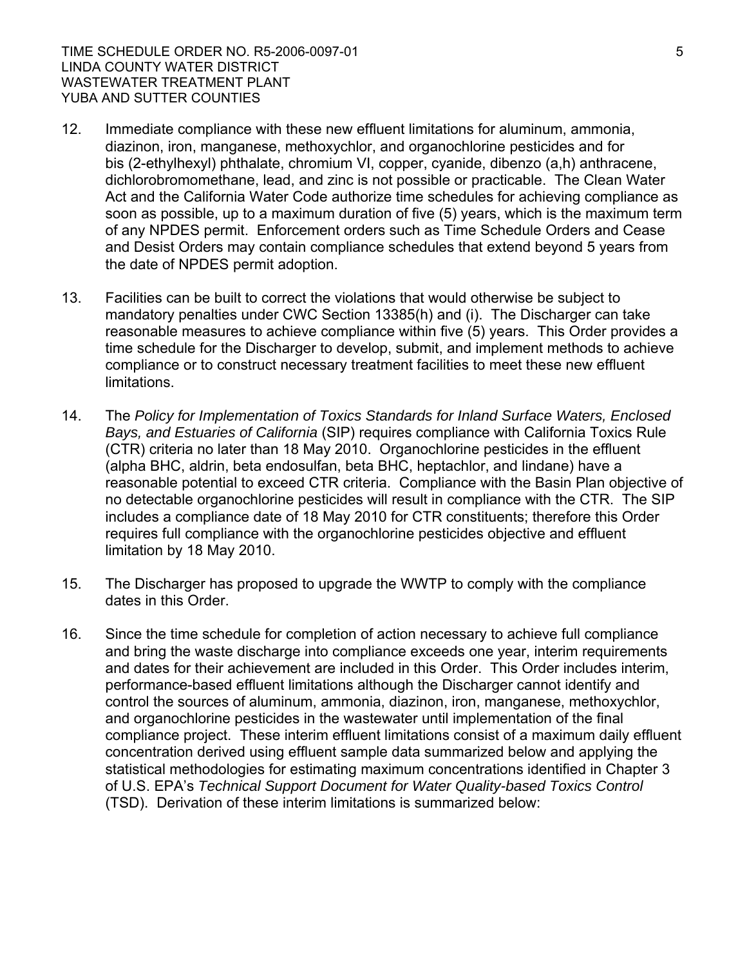- 12. Immediate compliance with these new effluent limitations for aluminum, ammonia, diazinon, iron, manganese, methoxychlor, and organochlorine pesticides and for bis (2-ethylhexyl) phthalate, chromium VI, copper, cyanide, dibenzo (a,h) anthracene, dichlorobromomethane, lead, and zinc is not possible or practicable. The Clean Water Act and the California Water Code authorize time schedules for achieving compliance as soon as possible, up to a maximum duration of five (5) years, which is the maximum term of any NPDES permit. Enforcement orders such as Time Schedule Orders and Cease and Desist Orders may contain compliance schedules that extend beyond 5 years from the date of NPDES permit adoption.
- 13. Facilities can be built to correct the violations that would otherwise be subject to mandatory penalties under CWC Section 13385(h) and (i). The Discharger can take reasonable measures to achieve compliance within five (5) years. This Order provides a time schedule for the Discharger to develop, submit, and implement methods to achieve compliance or to construct necessary treatment facilities to meet these new effluent limitations.
- 14. The *Policy for Implementation of Toxics Standards for Inland Surface Waters, Enclosed Bays, and Estuaries of California* (SIP) requires compliance with California Toxics Rule (CTR) criteria no later than 18 May 2010. Organochlorine pesticides in the effluent (alpha BHC, aldrin, beta endosulfan, beta BHC, heptachlor, and lindane) have a reasonable potential to exceed CTR criteria. Compliance with the Basin Plan objective of no detectable organochlorine pesticides will result in compliance with the CTR. The SIP includes a compliance date of 18 May 2010 for CTR constituents; therefore this Order requires full compliance with the organochlorine pesticides objective and effluent limitation by 18 May 2010.
- 15. The Discharger has proposed to upgrade the WWTP to comply with the compliance dates in this Order.
- 16. Since the time schedule for completion of action necessary to achieve full compliance and bring the waste discharge into compliance exceeds one year, interim requirements and dates for their achievement are included in this Order. This Order includes interim, performance-based effluent limitations although the Discharger cannot identify and control the sources of aluminum, ammonia, diazinon, iron, manganese, methoxychlor, and organochlorine pesticides in the wastewater until implementation of the final compliance project. These interim effluent limitations consist of a maximum daily effluent concentration derived using effluent sample data summarized below and applying the statistical methodologies for estimating maximum concentrations identified in Chapter 3 of U.S. EPA's *Technical Support Document for Water Quality-based Toxics Control*  (TSD). Derivation of these interim limitations is summarized below: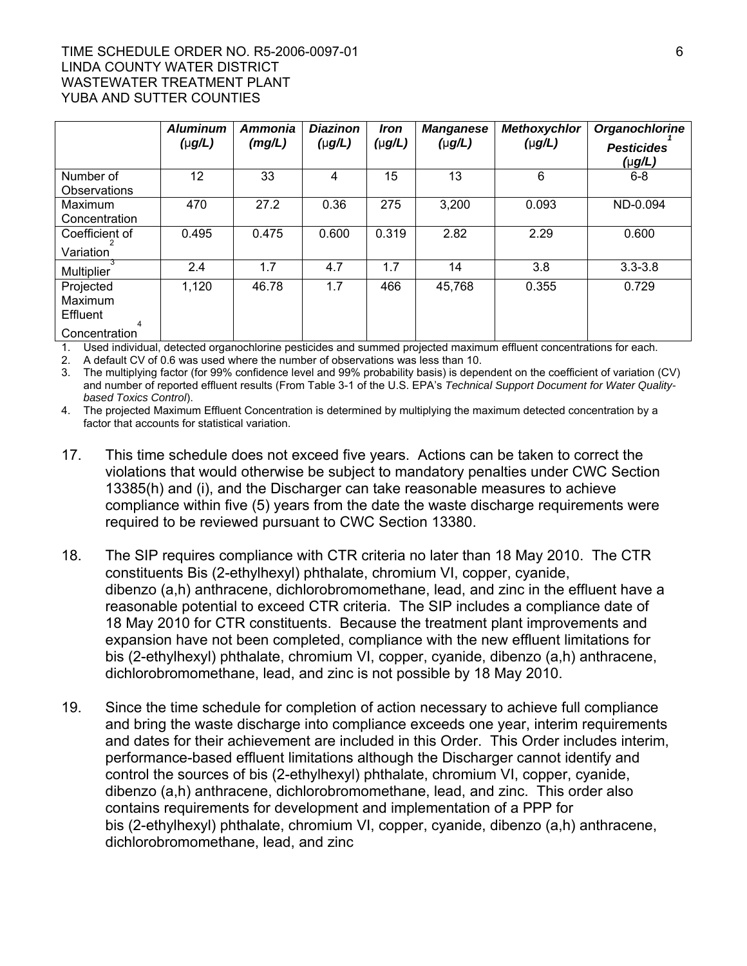#### TIME SCHEDULE ORDER NO. R5-2006-0097-01 6 LINDA COUNTY WATER DISTRICT WASTEWATER TREATMENT PLANT YUBA AND SUTTER COUNTIES

|                                                          | <b>Aluminum</b><br>$(\mu g/L)$ | Ammonia | <b>Diazinon</b><br>$(\mu g/L)$ | <b>Iron</b><br>(µg/L) | <b>Manganese</b><br>$(\mu g/L)$ | <b>Methoxychlor</b><br>$(\mu g/L)$ | Organochlorine                   |
|----------------------------------------------------------|--------------------------------|---------|--------------------------------|-----------------------|---------------------------------|------------------------------------|----------------------------------|
|                                                          |                                | (mg/L)  |                                |                       |                                 |                                    | <b>Pesticides</b><br>$(\mu g/L)$ |
| Number of<br><b>Observations</b>                         | 12                             | 33      | $\overline{4}$                 | 15                    | 13                              | 6                                  | $6-8$                            |
| <b>Maximum</b><br>Concentration                          | 470                            | 27.2    | 0.36                           | 275                   | 3,200                           | 0.093                              | ND-0.094                         |
| Coefficient of<br>Variation                              | 0.495                          | 0.475   | 0.600                          | 0.319                 | 2.82                            | 2.29                               | 0.600                            |
| Multiplier                                               | 2.4                            | 1.7     | 4.7                            | 1.7                   | 14                              | 3.8                                | $3.3 - 3.8$                      |
| Projected<br>Maximum<br><b>Effluent</b><br>Concentration | 1,120                          | 46.78   | 1.7                            | 466                   | 45,768                          | 0.355                              | 0.729                            |

1. Used individual, detected organochlorine pesticides and summed projected maximum effluent concentrations for each.

2. A default CV of 0.6 was used where the number of observations was less than 10.

3. The multiplying factor (for 99% confidence level and 99% probability basis) is dependent on the coefficient of variation (CV) and number of reported effluent results (From Table 3-1 of the U.S. EPA's *Technical Support Document for Water Qualitybased Toxics Control*).

4. The projected Maximum Effluent Concentration is determined by multiplying the maximum detected concentration by a factor that accounts for statistical variation.

- 17. This time schedule does not exceed five years. Actions can be taken to correct the violations that would otherwise be subject to mandatory penalties under CWC Section 13385(h) and (i), and the Discharger can take reasonable measures to achieve compliance within five (5) years from the date the waste discharge requirements were required to be reviewed pursuant to CWC Section 13380.
- 18. The SIP requires compliance with CTR criteria no later than 18 May 2010. The CTR constituents Bis (2-ethylhexyl) phthalate, chromium VI, copper, cyanide, dibenzo (a,h) anthracene, dichlorobromomethane, lead, and zinc in the effluent have a reasonable potential to exceed CTR criteria. The SIP includes a compliance date of 18 May 2010 for CTR constituents. Because the treatment plant improvements and expansion have not been completed, compliance with the new effluent limitations for bis (2-ethylhexyl) phthalate, chromium VI, copper, cyanide, dibenzo (a,h) anthracene, dichlorobromomethane, lead, and zinc is not possible by 18 May 2010.
- 19. Since the time schedule for completion of action necessary to achieve full compliance and bring the waste discharge into compliance exceeds one year, interim requirements and dates for their achievement are included in this Order. This Order includes interim, performance-based effluent limitations although the Discharger cannot identify and control the sources of bis (2-ethylhexyl) phthalate, chromium VI, copper, cyanide, dibenzo (a,h) anthracene, dichlorobromomethane, lead, and zinc. This order also contains requirements for development and implementation of a PPP for bis (2-ethylhexyl) phthalate, chromium VI, copper, cyanide, dibenzo (a,h) anthracene, dichlorobromomethane, lead, and zinc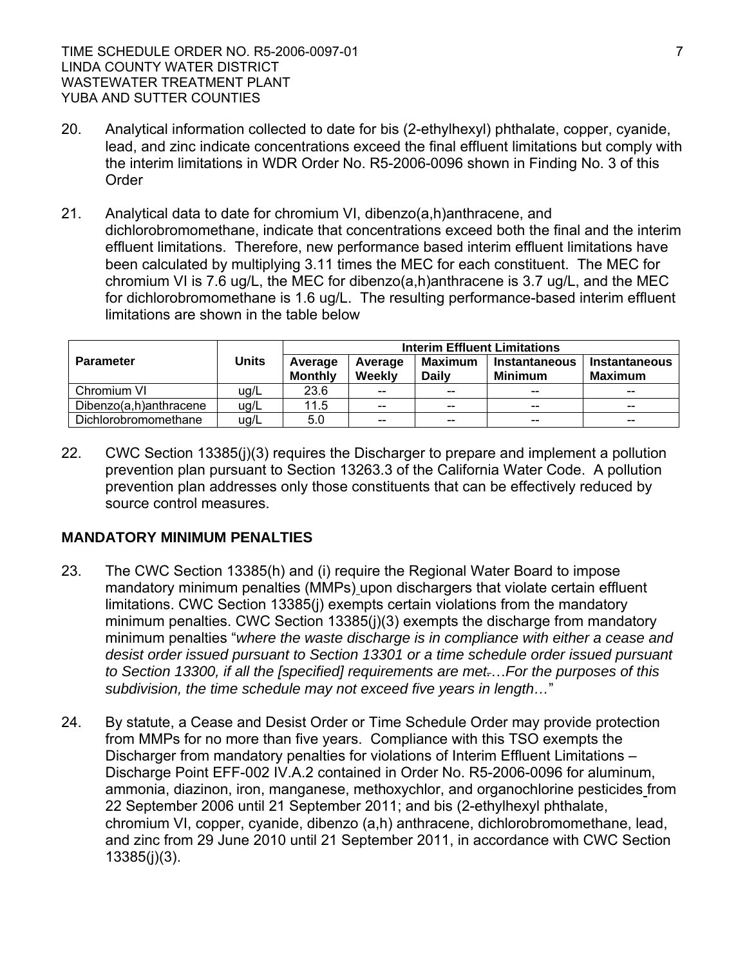- 20. Analytical information collected to date for bis (2-ethylhexyl) phthalate, copper, cyanide, lead, and zinc indicate concentrations exceed the final effluent limitations but comply with the interim limitations in WDR Order No. R5-2006-0096 shown in Finding No. 3 of this **Order**
- 21. Analytical data to date for chromium VI, dibenzo(a,h)anthracene, and dichlorobromomethane, indicate that concentrations exceed both the final and the interim effluent limitations. Therefore, new performance based interim effluent limitations have been calculated by multiplying 3.11 times the MEC for each constituent. The MEC for chromium VI is 7.6 ug/L, the MEC for dibenzo(a,h)anthracene is 3.7 ug/L, and the MEC for dichlorobromomethane is 1.6 ug/L. The resulting performance-based interim effluent limitations are shown in the table below

|                        |       | <b>Interim Effluent Limitations</b> |         |                |                      |                      |
|------------------------|-------|-------------------------------------|---------|----------------|----------------------|----------------------|
| <b>Parameter</b>       | Units | Average                             | Average | <b>Maximum</b> | <b>Instantaneous</b> | <b>Instantaneous</b> |
|                        |       | <b>Monthly</b>                      | Weekly  | <b>Daily</b>   | <b>Minimum</b>       | <b>Maximum</b>       |
| Chromium VI            | ug/L  | 23.6                                | $-$     | $-$            | $- -$                | $- -$                |
| Dibenzo(a,h)anthracene | ug/L  | 11.5                                | $-$     | $-$            | $- -$                | $- -$                |
| Dichlorobromomethane   | ug/L  | 5.0                                 | $-$     | $\overline{a}$ | $- -$                | $- -$                |

22. CWC Section 13385(j)(3) requires the Discharger to prepare and implement a pollution prevention plan pursuant to Section 13263.3 of the California Water Code. A pollution prevention plan addresses only those constituents that can be effectively reduced by source control measures.

# **MANDATORY MINIMUM PENALTIES**

- 23. The CWC Section 13385(h) and (i) require the Regional Water Board to impose mandatory minimum penalties (MMPs) upon dischargers that violate certain effluent limitations. CWC Section 13385(j) exempts certain violations from the mandatory minimum penalties. CWC Section 13385(j)(3) exempts the discharge from mandatory minimum penalties "*where the waste discharge is in compliance with either a cease and desist order issued pursuant to Section 13301 or a time schedule order issued pursuant to Section 13300, if all the [specified] requirements are met.*…*For the purposes of this subdivision, the time schedule may not exceed five years in length…*"
- 24. By statute, a Cease and Desist Order or Time Schedule Order may provide protection from MMPs for no more than five years. Compliance with this TSO exempts the Discharger from mandatory penalties for violations of Interim Effluent Limitations – Discharge Point EFF-002 IV.A.2 contained in Order No. R5-2006-0096 for aluminum, ammonia, diazinon, iron, manganese, methoxychlor, and organochlorine pesticides from 22 September 2006 until 21 September 2011; and bis (2-ethylhexyl phthalate, chromium VI, copper, cyanide, dibenzo (a,h) anthracene, dichlorobromomethane, lead, and zinc from 29 June 2010 until 21 September 2011, in accordance with CWC Section 13385(j)(3).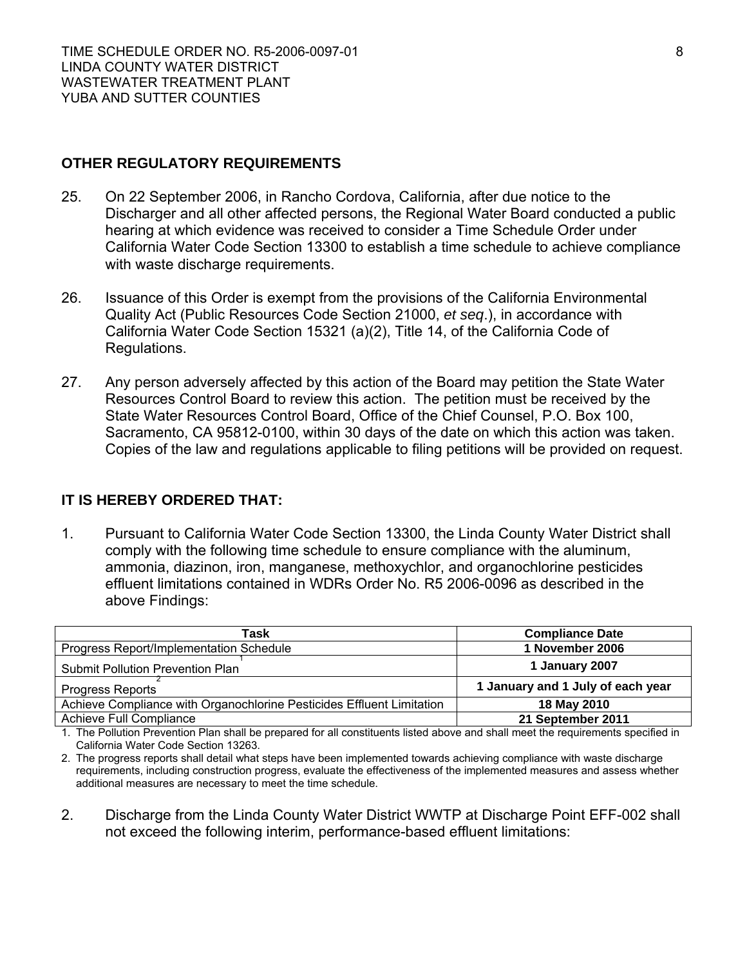# **OTHER REGULATORY REQUIREMENTS**

- 25. On 22 September 2006, in Rancho Cordova, California, after due notice to the Discharger and all other affected persons, the Regional Water Board conducted a public hearing at which evidence was received to consider a Time Schedule Order under California Water Code Section 13300 to establish a time schedule to achieve compliance with waste discharge requirements.
- 26. Issuance of this Order is exempt from the provisions of the California Environmental Quality Act (Public Resources Code Section 21000, *et seq*.), in accordance with California Water Code Section 15321 (a)(2), Title 14, of the California Code of Regulations.
- 27. Any person adversely affected by this action of the Board may petition the State Water Resources Control Board to review this action. The petition must be received by the State Water Resources Control Board, Office of the Chief Counsel, P.O. Box 100, Sacramento, CA 95812-0100, within 30 days of the date on which this action was taken. Copies of the law and regulations applicable to filing petitions will be provided on request.

# **IT IS HEREBY ORDERED THAT:**

1. Pursuant to California Water Code Section 13300, the Linda County Water District shall comply with the following time schedule to ensure compliance with the aluminum, ammonia, diazinon, iron, manganese, methoxychlor, and organochlorine pesticides effluent limitations contained in WDRs Order No. R5 2006-0096 as described in the above Findings:

| Task                                                                  | <b>Compliance Date</b>            |
|-----------------------------------------------------------------------|-----------------------------------|
| Progress Report/Implementation Schedule                               | 1 November 2006                   |
| Submit Pollution Prevention Plan                                      | 1 January 2007                    |
| Progress Reports                                                      | 1 January and 1 July of each year |
| Achieve Compliance with Organochlorine Pesticides Effluent Limitation | 18 May 2010                       |
| Achieve Full Compliance                                               | 21 September 2011                 |

1. The Pollution Prevention Plan shall be prepared for all constituents listed above and shall meet the requirements specified in California Water Code Section 13263.

- 2. The progress reports shall detail what steps have been implemented towards achieving compliance with waste discharge requirements, including construction progress, evaluate the effectiveness of the implemented measures and assess whether additional measures are necessary to meet the time schedule.
- 2. Discharge from the Linda County Water District WWTP at Discharge Point EFF-002 shall not exceed the following interim, performance-based effluent limitations: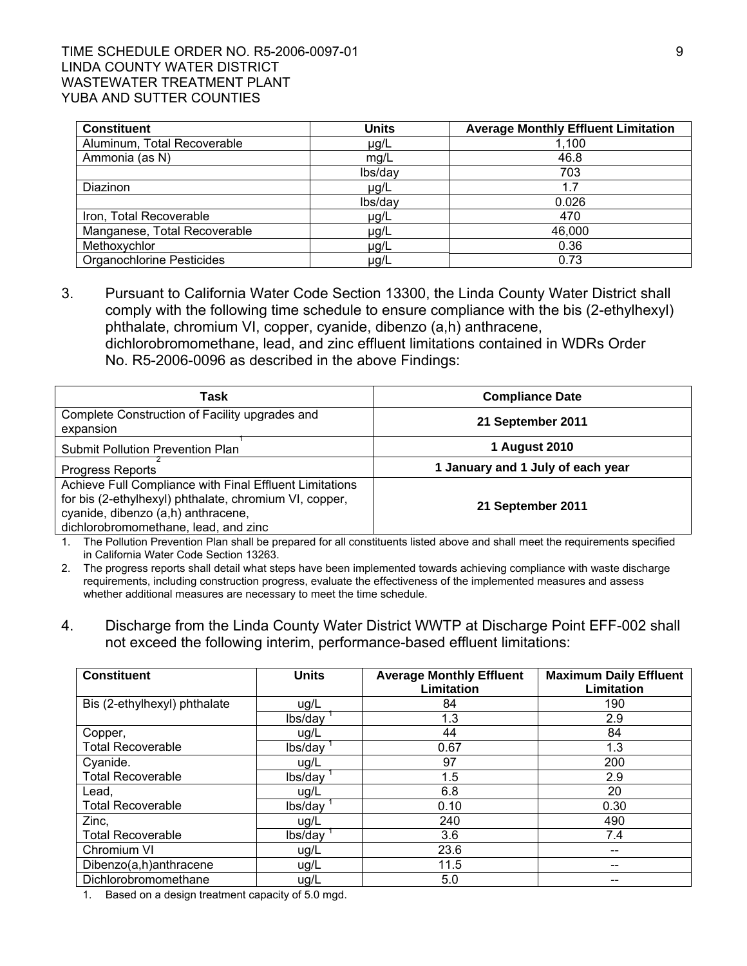#### TIME SCHEDULE ORDER NO. R5-2006-0097-01 9 LINDA COUNTY WATER DISTRICT WASTEWATER TREATMENT PLANT YUBA AND SUTTER COUNTIES

| <b>Constituent</b>               | <b>Units</b> | <b>Average Monthly Effluent Limitation</b> |
|----------------------------------|--------------|--------------------------------------------|
| Aluminum, Total Recoverable      | $\mu$ g/L    | 1,100                                      |
| Ammonia (as N)                   | mg/L         | 46.8                                       |
|                                  | lbs/day      | 703                                        |
| Diazinon                         | $\mu$ g/L    | 1.7                                        |
|                                  | lbs/day      | 0.026                                      |
| Iron, Total Recoverable          | µg/L         | 470                                        |
| Manganese, Total Recoverable     | $\mu$ g/L    | 46,000                                     |
| Methoxychlor                     | $\mu$ g/L    | 0.36                                       |
| <b>Organochlorine Pesticides</b> | µg/L         | 0.73                                       |

3. Pursuant to California Water Code Section 13300, the Linda County Water District shall comply with the following time schedule to ensure compliance with the bis (2-ethylhexyl) phthalate, chromium VI, copper, cyanide, dibenzo (a,h) anthracene, dichlorobromomethane, lead, and zinc effluent limitations contained in WDRs Order No. R5-2006-0096 as described in the above Findings:

| Task                                                                                                                                                                                            | <b>Compliance Date</b>            |
|-------------------------------------------------------------------------------------------------------------------------------------------------------------------------------------------------|-----------------------------------|
| Complete Construction of Facility upgrades and<br>expansion                                                                                                                                     | 21 September 2011                 |
| <b>Submit Pollution Prevention Plan</b>                                                                                                                                                         | <b>1 August 2010</b>              |
| Progress Reports                                                                                                                                                                                | 1 January and 1 July of each year |
| Achieve Full Compliance with Final Effluent Limitations<br>for bis (2-ethylhexyl) phthalate, chromium VI, copper,<br>cyanide, dibenzo (a,h) anthracene,<br>dichlorobromomethane, lead, and zinc | 21 September 2011                 |

1. The Pollution Prevention Plan shall be prepared for all constituents listed above and shall meet the requirements specified in California Water Code Section 13263.

2. The progress reports shall detail what steps have been implemented towards achieving compliance with waste discharge requirements, including construction progress, evaluate the effectiveness of the implemented measures and assess whether additional measures are necessary to meet the time schedule.

4. Discharge from the Linda County Water District WWTP at Discharge Point EFF-002 shall not exceed the following interim, performance-based effluent limitations:

| <b>Constituent</b>           | <b>Units</b> | <b>Average Monthly Effluent</b><br>Limitation | <b>Maximum Daily Effluent</b><br>Limitation |
|------------------------------|--------------|-----------------------------------------------|---------------------------------------------|
| Bis (2-ethylhexyl) phthalate | ug/L         | 84                                            | 190                                         |
|                              | lbs/day      | 1.3                                           | 2.9                                         |
| Copper,                      | ug/L         | 44                                            | 84                                          |
| <b>Total Recoverable</b>     | lbs/day      | 0.67                                          | 1.3                                         |
| Cyanide.                     | ug/L         | 97                                            | 200                                         |
| <b>Total Recoverable</b>     | lbs/day      | 1.5                                           | 2.9                                         |
| Lead,                        | ug/L         | 6.8                                           | 20                                          |
| <b>Total Recoverable</b>     | lbs/day      | 0.10                                          | 0.30                                        |
| Zinc,                        | ug/L         | 240                                           | 490                                         |
| <b>Total Recoverable</b>     | lbs/day      | 3.6                                           | 7.4                                         |
| Chromium VI                  | ug/L         | 23.6                                          | --                                          |
| Dibenzo(a,h)anthracene       | ug/L         | 11.5                                          | --                                          |
| Dichlorobromomethane         | ug/L         | 5.0                                           | --                                          |

1. Based on a design treatment capacity of 5.0 mgd.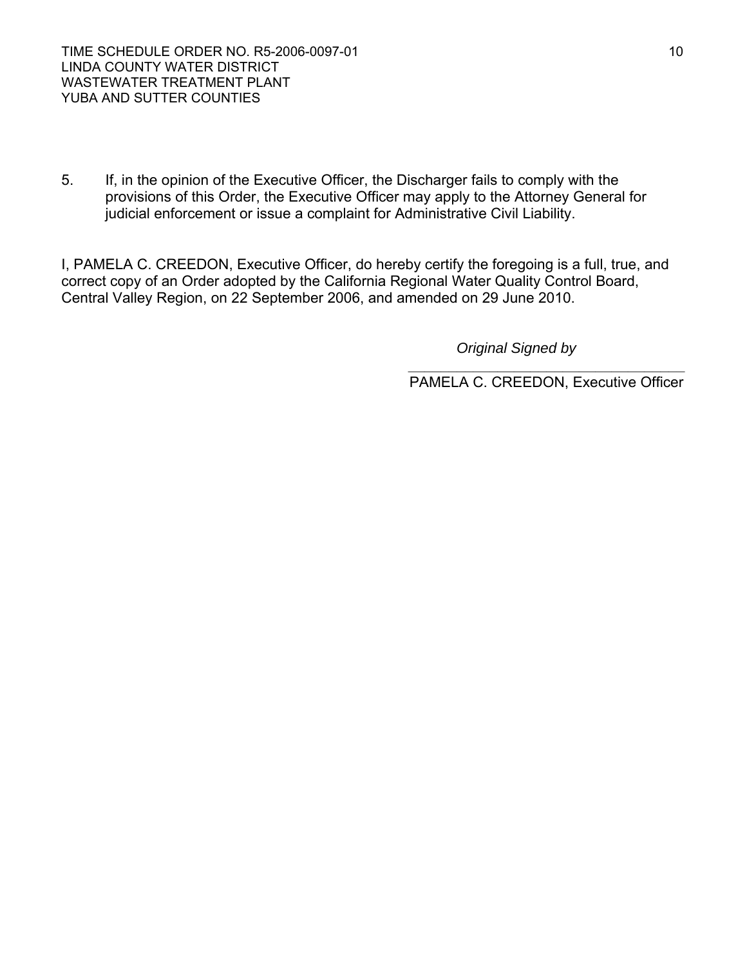5. If, in the opinion of the Executive Officer, the Discharger fails to comply with the provisions of this Order, the Executive Officer may apply to the Attorney General for judicial enforcement or issue a complaint for Administrative Civil Liability.

I, PAMELA C. CREEDON, Executive Officer, do hereby certify the foregoing is a full, true, and correct copy of an Order adopted by the California Regional Water Quality Control Board, Central Valley Region, on 22 September 2006, and amended on 29 June 2010.

*Original Signed by* 

**\_\_\_\_\_\_\_\_\_\_\_\_\_\_\_\_\_\_\_\_\_\_\_\_\_\_\_\_\_\_\_\_\_\_** PAMELA C. CREEDON, Executive Officer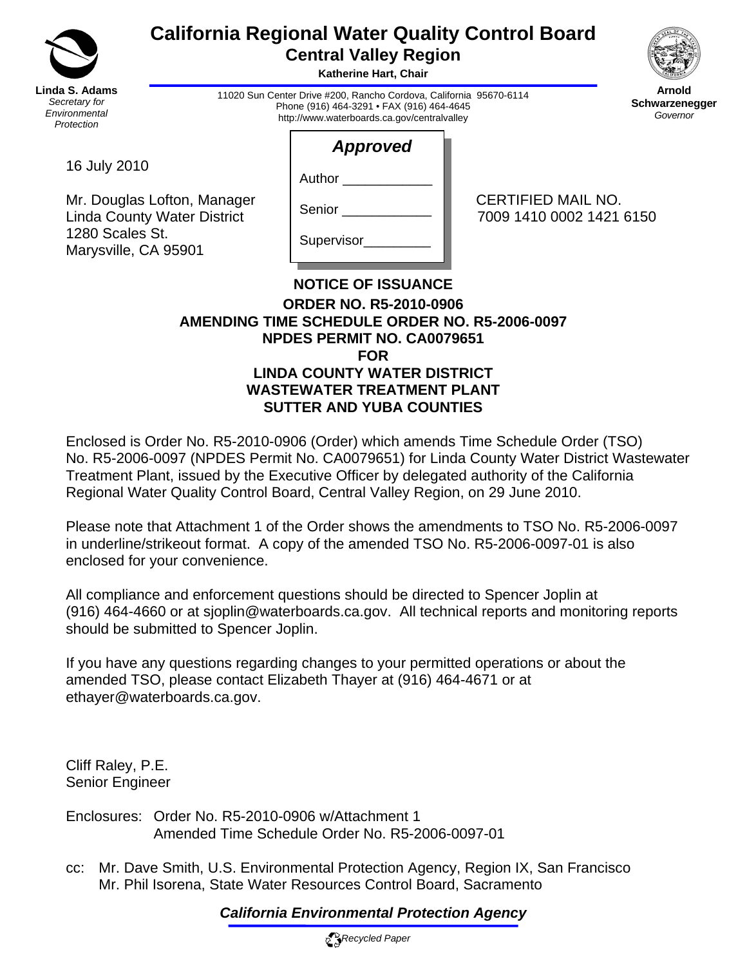

# **California Regional Water Quality Control Board Central Valley Region**

**Katherine Hart, Chair** 



11020 Sun Center Drive #200, Rancho Cordova, California 95670-6114 Phone (916) 464-3291 • FAX (916) 464-4645 http://www.waterboards.ca.gov/centralvalley

**Arnold Schwarzenegger** *Governor* 

16 July 2010

Mr. Douglas Lofton, Manager  $\Big|$   $\Big|$  CERTIFIED MAIL NO. Linda County Water District  $\begin{array}{|c|c|c|c|c|c|c|c|c|c|c|c|} \hline & 7009 & 1410 & 0002 & 1421 & 6150 \ \hline \end{array}$ 1280 Scales St. Marysville, CA 95901

| <b>Approved</b> |  |  |  |  |
|-----------------|--|--|--|--|
| Author          |  |  |  |  |
| Senior          |  |  |  |  |

Supervisor\_\_\_\_\_\_\_\_\_

# **NOTICE OF ISSUANCE ORDER NO. R5-2010-0906 AMENDING TIME SCHEDULE ORDER NO. R5-2006-0097 NPDES PERMIT NO. CA0079651 FOR LINDA COUNTY WATER DISTRICT WASTEWATER TREATMENT PLANT SUTTER AND YUBA COUNTIES**

Enclosed is Order No. R5-2010-0906 (Order) which amends Time Schedule Order (TSO) No. R5-2006-0097 (NPDES Permit No. CA0079651) for Linda County Water District Wastewater Treatment Plant, issued by the Executive Officer by delegated authority of the California Regional Water Quality Control Board, Central Valley Region, on 29 June 2010.

Please note that Attachment 1 of the Order shows the amendments to TSO No. R5-2006-0097 in underline/strikeout format. A copy of the amended TSO No. R5-2006-0097-01 is also enclosed for your convenience.

All compliance and enforcement questions should be directed to Spencer Joplin at (916) 464-4660 or at sjoplin@waterboards.ca.gov. All technical reports and monitoring reports should be submitted to Spencer Joplin.

If you have any questions regarding changes to your permitted operations or about the amended TSO, please contact Elizabeth Thayer at (916) 464-4671 or at ethayer@waterboards.ca.gov.

Cliff Raley, P.E. Senior Engineer

Enclosures: Order No. R5-2010-0906 w/Attachment 1 Amended Time Schedule Order No. R5-2006-0097-01

cc: Mr. Dave Smith, U.S. Environmental Protection Agency, Region IX, San Francisco Mr. Phil Isorena, State Water Resources Control Board, Sacramento

# *California Environmental Protection Agency*